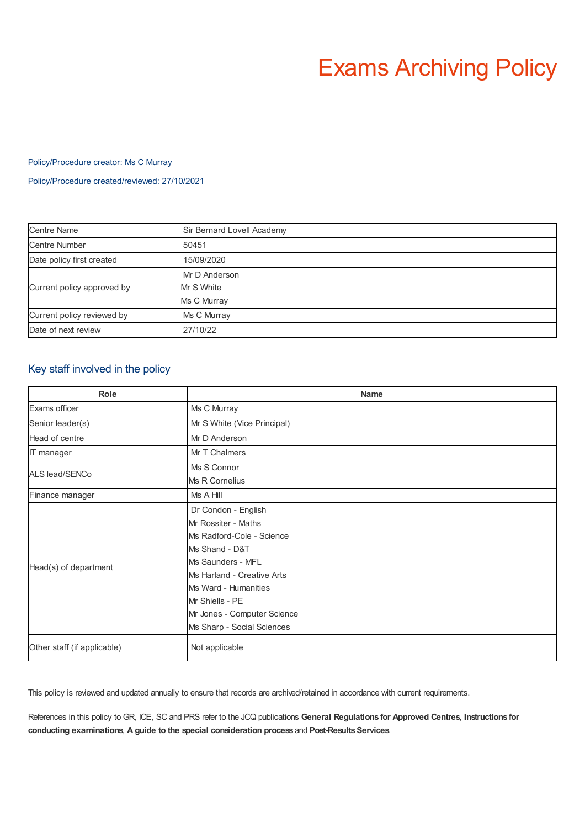# Exams Archiving Policy

# Policy/Procedure creator: Ms C Murray

Policy/Procedure created/reviewed: 27/10/2021

| <b>Centre Name</b>         | Sir Bernard Lovell Academy |
|----------------------------|----------------------------|
| <b>Centre Number</b>       | 50451                      |
| Date policy first created  | 15/09/2020                 |
| Current policy approved by | Mr D Anderson              |
|                            | Mr S White                 |
|                            | Ms C Murray                |
| Current policy reviewed by | Ms C Murray                |
| Date of next review        | 27/10/22                   |

# Key staff involved in the policy

| Role                        | <b>Name</b>                                                                                                                                                                                                                                          |
|-----------------------------|------------------------------------------------------------------------------------------------------------------------------------------------------------------------------------------------------------------------------------------------------|
| Exams officer               | Ms C Murray                                                                                                                                                                                                                                          |
| Senior leader(s)            | Mr S White (Vice Principal)                                                                                                                                                                                                                          |
| Head of centre              | Mr D Anderson                                                                                                                                                                                                                                        |
| IT manager                  | Mr T Chalmers                                                                                                                                                                                                                                        |
| ALS lead/SENCo              | Ms S Connor<br>Ms R Cornelius                                                                                                                                                                                                                        |
| Finance manager             | Ms A Hill                                                                                                                                                                                                                                            |
| Head(s) of department       | Dr Condon - English<br>Mr Rossiter - Maths<br>Ms Radford-Cole - Science<br>Ms Shand - D&T<br>Ms Saunders - MFL<br>Ms Harland - Creative Arts<br>Ms Ward - Humanities<br>Mr Shiells - PE<br>Mr Jones - Computer Science<br>Ms Sharp - Social Sciences |
| Other staff (if applicable) | Not applicable                                                                                                                                                                                                                                       |

This policy is reviewed and updated annually to ensure that records are archived/retained in accordance with current requirements.

References in this policy to GR, ICE, SC and PRS refer to the JCQ publications **General Regulations for Approved Centres**, **Instructions for conducting examinations**, **A guide to the special consideration process** and **Post-ResultsServices**.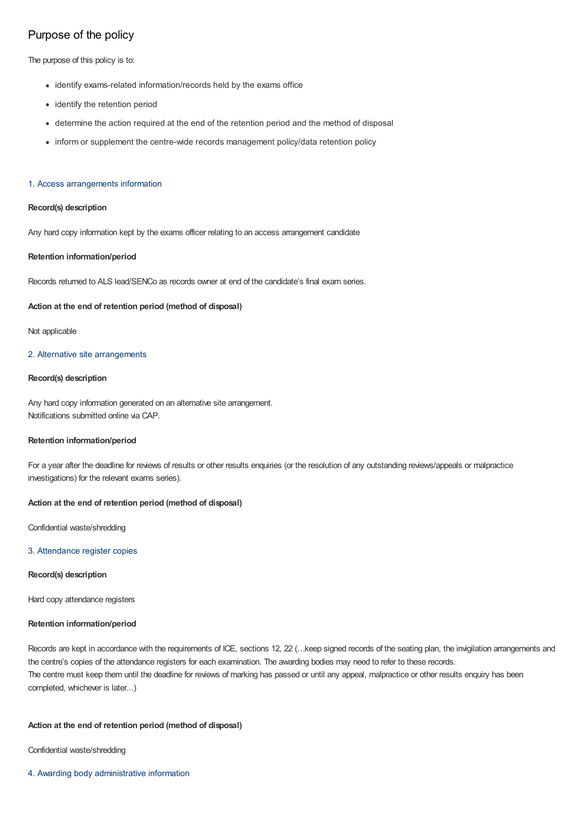# Purpose of the policy

The purpose of this policy is to:

- identify exams-related information/records held by the exams office
- identify the retention period
- determine the action required at the end of the retention period and the method of disposal
- inform or supplement the centre-wide records management policy/data retention policy

## 1. Access arrangements information

# **Record(s) description**

Any hard copy information kept by the exams officer relating to an access arrangement candidate

# **Retention information/period**

Records returned to ALS lead/SENCo as records owner at end of the candidate's final exam series.

# **Action at the end of retention period (method of disposal)**

Not applicable

# 2. Alternative site arrangements

# **Record(s) description**

Any hard copy information generated on an alternative site arrangement. Notifications submitted online via CAP.

# **Retention information/period**

For a year after the deadline for reviews of results or other results enquiries (or the resolution of any outstanding reviews/appeals or malpractice investigations) for the relevant exams series).

# **Action at the end of retention period (method of disposal)**

Confidential waste/shredding

#### 3. Attendance register copies

# **Record(s) description**

Hard copy attendance registers

# **Retention information/period**

Records are kept in accordance with the requirements of ICE, sections 12, 22 (…keep signed records of the seating plan, the invigilation arrangements and the centre's copies of the attendance registers for each examination. The awarding bodies may need to refer to these records. The centre must keep them until the deadline for reviews of marking has passed or until any appeal, malpractice or other results enquiry has been completed, whichever is later...)

# **Action at the end of retention period (method of disposal)**

Confidential waste/shredding

4. Awarding body administrative information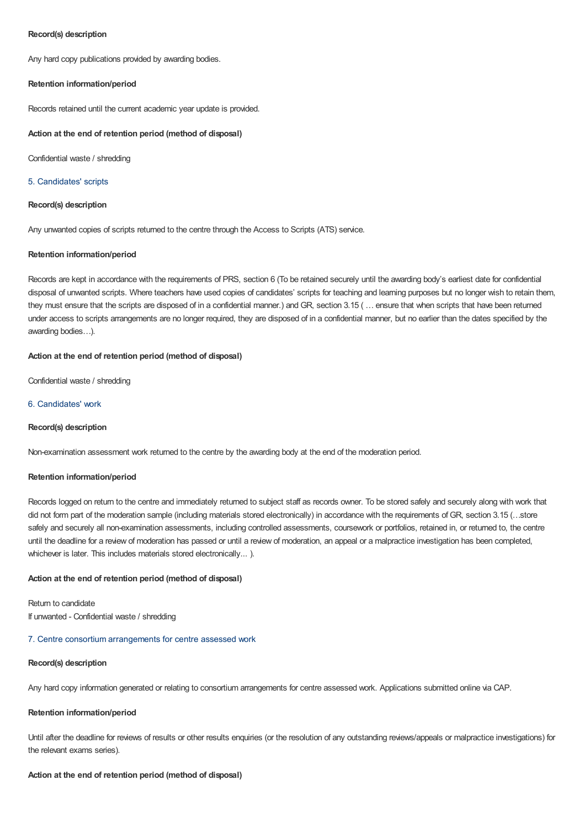# **Record(s) description**

Any hard copy publications provided by awarding bodies.

## **Retention information/period**

Records retained until the current academic year update is provided.

#### **Action at the end of retention period (method of disposal)**

Confidential waste / shredding

#### 5. Candidates' scripts

# **Record(s) description**

Any unwanted copies of scripts returned to the centre through the Access to Scripts (ATS) service.

## **Retention information/period**

Records are kept in accordance with the requirements of PRS, section 6 (To be retained securely until the awarding body's earliest date for confidential disposal of unwanted scripts. Where teachers have used copies of candidates' scripts for teaching and learning purposes but no longer wish to retain them, they must ensure that the scripts are disposed of in a confidential manner.) and GR, section 3.15 ( … ensure that when scripts that have been returned under access to scripts arrangements are no longer required, they are disposed of in a confidential manner, but no earlier than the dates specified by the awarding bodies…).

# **Action at the end of retention period (method of disposal)**

Confidential waste / shredding

# 6. Candidates' work

#### **Record(s) description**

Non-examination assessment work returned to the centre by the awarding body at the end of the moderation period.

#### **Retention information/period**

Records logged on return to the centre and immediately returned to subject staff as records owner. To be stored safely and securely along with work that did not form part of the moderation sample (including materials stored electronically) in accordance with the requirements of GR, section 3.15 (...store safely and securely all non-examination assessments, including controlled assessments, coursework or portfolios, retained in, or returned to, the centre until the deadline for a review of moderation has passed or until a review of moderation, an appeal or a malpractice investigation has been completed, whichever is later. This includes materials stored electronically...).

#### **Action at the end of retention period (method of disposal)**

Return to candidate If unwanted - Confidential waste / shredding

# 7. Centre consortium arrangements for centre assessed work

# **Record(s) description**

Any hard copy information generated or relating to consortium arrangements for centre assessed work. Applications submitted online via CAP.

#### **Retention information/period**

Until after the deadline for reviews of results or other results enquiries (or the resolution of any outstanding reviews/appeals or malpractice investigations) for the relevant exams series).

#### **Action at the end of retention period (method of disposal)**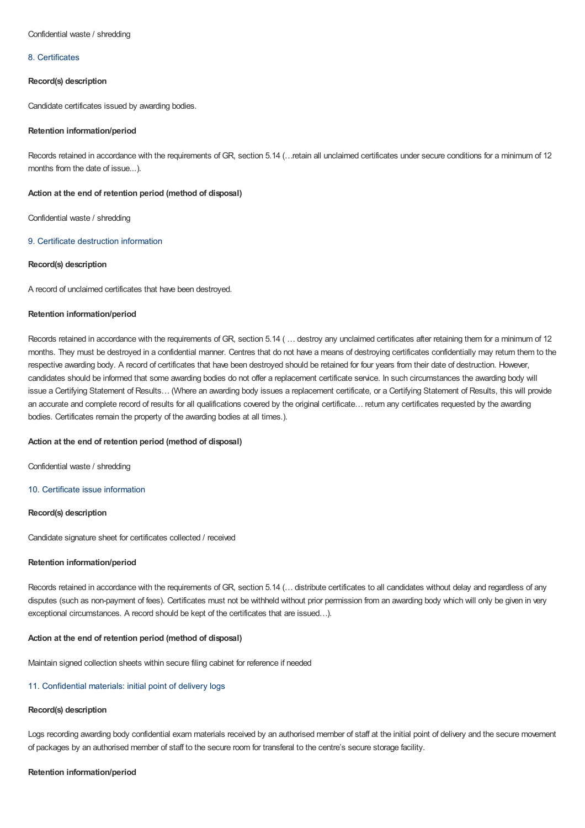#### Confidential waste / shredding

#### 8. Certificates

## **Record(s) description**

Candidate certificates issued by awarding bodies.

## **Retention information/period**

Records retained in accordance with the requirements of GR, section 5.14 (…retain all unclaimed certificates under secure conditions for a minimum of 12 months from the date of issue...).

#### **Action at the end of retention period (method of disposal)**

Confidential waste / shredding

# 9. Certificate destruction information

## **Record(s) description**

A record of unclaimed certificates that have been destroyed.

#### **Retention information/period**

Records retained in accordance with the requirements of GR, section 5.14 ( … destroy any unclaimed certificates after retaining them for a minimum of 12 months. They must be destroyed in a confidential manner. Centres that do not have a means of destroying certificates confidentially may return them to the respective awarding body. A record of certificates that have been destroyed should be retained for four years from their date of destruction. However, candidates should be informed that some awarding bodies do not offer a replacement certificate service. In such circumstances the awarding body will issue a Certifying Statement of Results… (Where an awarding body issues a replacement certificate, or a Certifying Statement of Results, this will provide an accurate and complete record of results for all qualifications covered by the original certificate… return any certificates requested by the awarding bodies. Certificates remain the property of the awarding bodies at all times.).

#### **Action at the end of retention period (method of disposal)**

Confidential waste / shredding

# 10. Certificate issue information

# **Record(s) description**

Candidate signature sheet for certificates collected / received

#### **Retention information/period**

Records retained in accordance with the requirements of GR, section 5.14 (… distribute certificates to all candidates without delay and regardless of any disputes (such as non-payment of fees). Certificates must not be withheld without prior permission from an awarding body which will only be given in very exceptional circumstances. A record should be kept of the certificates that are issued…).

# **Action at the end of retention period (method of disposal)**

Maintain signed collection sheets within secure filing cabinet for reference if needed

#### 11. Confidential materials: initial point of delivery logs

## **Record(s) description**

Logs recording awarding body confidential exam materials received by an authorised member of staff at the initial point of delivery and the secure movement of packages by an authorised member of staff to the secure room for transferal to the centre's secure storage facility.

#### **Retention information/period**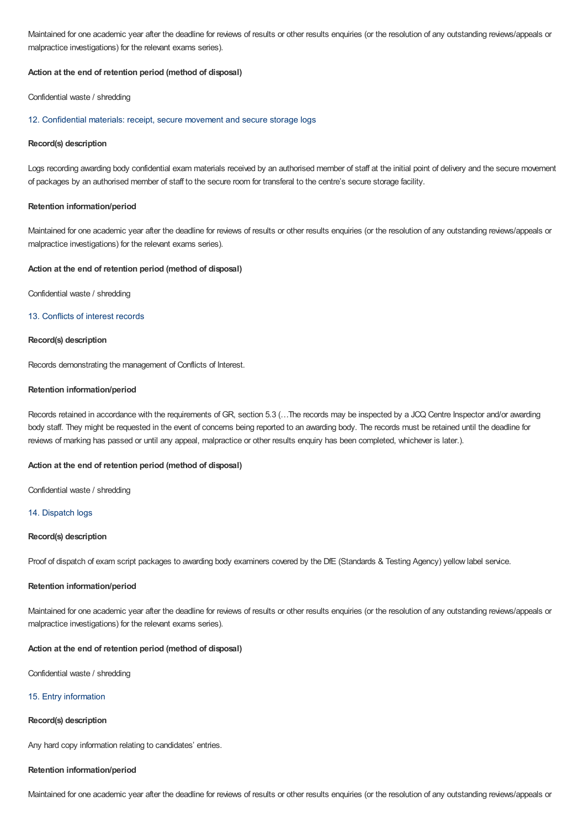Maintained for one academic year after the deadline for reviews of results or other results enquiries (or the resolution of any outstanding reviews/appeals or malpractice investigations) for the relevant exams series).

#### **Action at the end of retention period (method of disposal)**

Confidential waste / shredding

#### 12. Confidential materials: receipt, secure movement and secure storage logs

#### **Record(s) description**

Logs recording awarding body confidential exam materials received by an authorised member of staff at the initial point of delivery and the secure movement of packages by an authorised member of staff to the secure room for transferal to the centre's secure storage facility.

#### **Retention information/period**

Maintained for one academic year after the deadline for reviews of results or other results enquiries (or the resolution of any outstanding reviews/appeals or malpractice investigations) for the relevant exams series).

#### **Action at the end of retention period (method of disposal)**

Confidential waste / shredding

# 13. Conflicts of interest records

# **Record(s) description**

Records demonstrating the management of Conflicts of Interest.

#### **Retention information/period**

Records retained in accordance with the requirements of GR, section 5.3 (…The records may be inspected by a JCQ Centre Inspector and/or awarding body staff. They might be requested in the event of concerns being reported to an awarding body. The records must be retained until the deadline for reviews of marking has passed or until any appeal, malpractice or other results enquiry has been completed, whichever is later.).

#### **Action at the end of retention period (method of disposal)**

Confidential waste / shredding

# 14. Dispatch logs

# **Record(s) description**

Proof of dispatch of exam script packages to awarding body examiners covered by the DfE (Standards & Testing Agency) yellow label service.

#### **Retention information/period**

Maintained for one academic year after the deadline for reviews of results or other results enquiries (or the resolution of any outstanding reviews/appeals or malpractice investigations) for the relevant exams series).

#### **Action at the end of retention period (method of disposal)**

Confidential waste / shredding

# 15. Entry information

# **Record(s) description**

Any hard copy information relating to candidates' entries.

# **Retention information/period**

Maintained for one academic year after the deadline for reviews of results or other results enquiries (or the resolution of any outstanding reviews/appeals or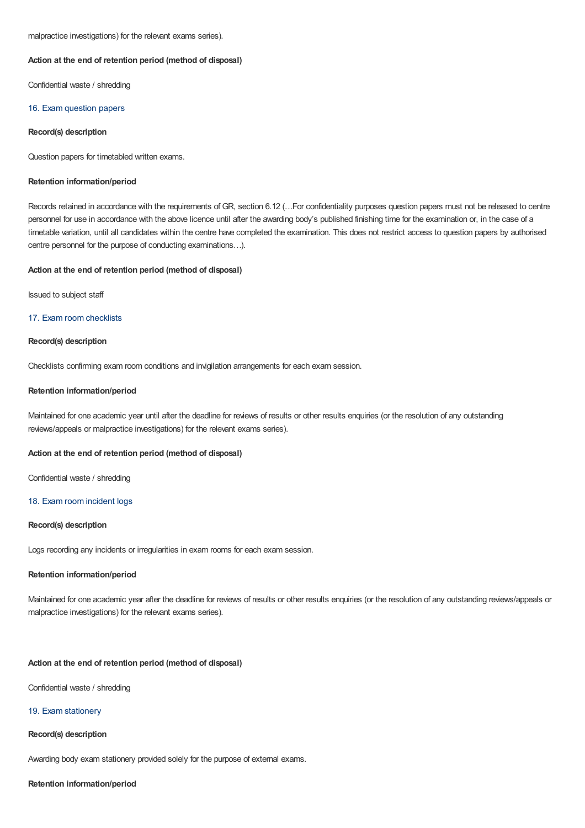# **Action at the end of retention period (method of disposal)**

Confidential waste / shredding

## 16. Exam question papers

#### **Record(s) description**

Question papers for timetabled written exams.

#### **Retention information/period**

Records retained in accordance with the requirements of GR, section 6.12 (…For confidentiality purposes question papers must not be released to centre personnel for use in accordance with the above licence until after the awarding body's published finishing time for the examination or, in the case of a timetable variation, until all candidates within the centre have completed the examination. This does not restrict access to question papers by authorised centre personnel for the purpose of conducting examinations…).

#### **Action at the end of retention period (method of disposal)**

Issued to subject staff

# 17. Exam room checklists

# **Record(s) description**

Checklists confirming exam room conditions and invigilation arrangements for each exam session.

#### **Retention information/period**

Maintained for one academic year until after the deadline for reviews of results or other results enquiries (or the resolution of any outstanding reviews/appeals or malpractice investigations) for the relevant exams series).

#### **Action at the end of retention period (method of disposal)**

Confidential waste / shredding

#### 18. Exam room incident logs

# **Record(s) description**

Logs recording any incidents or irregularities in exam rooms for each exam session.

# **Retention information/period**

Maintained for one academic year after the deadline for reviews of results or other results enquiries (or the resolution of any outstanding reviews/appeals or malpractice investigations) for the relevant exams series).

### **Action at the end of retention period (method of disposal)**

Confidential waste / shredding

#### 19. Exam stationery

# **Record(s) description**

Awarding body exam stationery provided solely for the purpose of external exams.

#### **Retention information/period**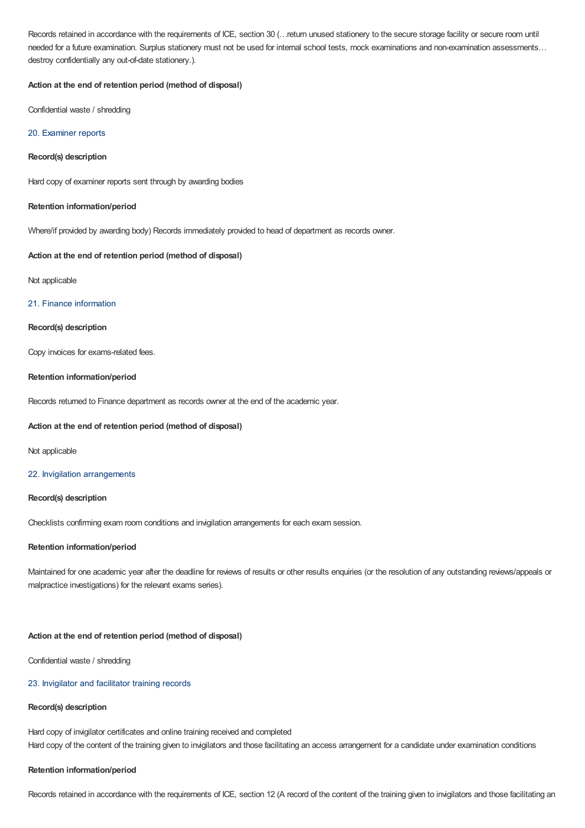Records retained in accordance with the requirements of ICE, section 30 (…return unused stationery to the secure storage facility or secure room until needed for a future examination. Surplus stationery must not be used for internal school tests, mock examinations and non-examination assessments… destroy confidentially any out-of-date stationery.).

# **Action at the end of retention period (method of disposal)**

Confidential waste / shredding

# 20. Examiner reports

# **Record(s) description**

Hard copy of examiner reports sent through by awarding bodies

# **Retention information/period**

Where/if provided by awarding body) Records immediately provided to head of department as records owner.

# **Action at the end of retention period (method of disposal)**

### Not applicable

## 21. Finance information

# **Record(s) description**

Copy invoices for exams-related fees.

#### **Retention information/period**

Records returned to Finance department as records owner at the end of the academic year.

## **Action at the end of retention period (method of disposal)**

Not applicable

#### 22. Invigilation arrangements

#### **Record(s) description**

Checklists confirming exam room conditions and invigilation arrangements for each exam session.

#### **Retention information/period**

Maintained for one academic year after the deadline for reviews of results or other results enquiries (or the resolution of any outstanding reviews/appeals or malpractice investigations) for the relevant exams series).

# **Action at the end of retention period (method of disposal)**

Confidential waste / shredding

# 23. Invigilator and facilitator training records

# **Record(s) description**

Hard copy of invigilator certificates and online training received and completed Hard copy of the content of the training given to invigilators and those facilitating an access arrangement for a candidate under examination conditions

#### **Retention information/period**

Records retained in accordance with the requirements of ICE, section 12 (A record of the content of the training given to invigilators and those facilitating an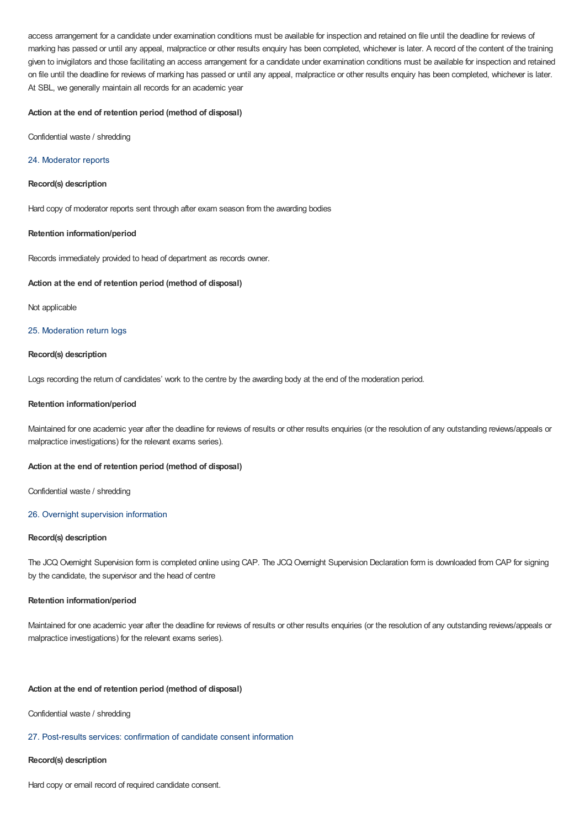access arrangement for a candidate under examination conditions must be available for inspection and retained on file until the deadline for reviews of marking has passed or until any appeal, malpractice or other results enquiry has been completed, whichever is later. A record of the content of the training given to invigilators and those facilitating an access arrangement for a candidate under examination conditions must be available for inspection and retained on file until the deadline for reviews of marking has passed or until any appeal, malpractice or other results enquiry has been completed, whichever is later. At SBL, we generally maintain all records for an academic year

# **Action at the end of retention period (method of disposal)**

Confidential waste / shredding

## 24. Moderator reports

#### **Record(s) description**

Hard copy of moderator reports sent through after exam season from the awarding bodies

## **Retention information/period**

Records immediately provided to head of department as records owner.

#### **Action at the end of retention period (method of disposal)**

Not applicable

# 25. Moderation return logs

#### **Record(s) description**

Logs recording the return of candidates' work to the centre by the awarding body at the end of the moderation period.

#### **Retention information/period**

Maintained for one academic year after the deadline for reviews of results or other results enquiries (or the resolution of any outstanding reviews/appeals or malpractice investigations) for the relevant exams series).

# **Action at the end of retention period (method of disposal)**

Confidential waste / shredding

#### 26. Overnight supervision information

## **Record(s) description**

The JCQ Overnight Supervision form is completed online using CAP. The JCQ Overnight Supervision Declaration form is downloaded from CAP for signing by the candidate, the supervisor and the head of centre

#### **Retention information/period**

Maintained for one academic year after the deadline for reviews of results or other results enquiries (or the resolution of any outstanding reviews/appeals or malpractice investigations) for the relevant exams series).

#### **Action at the end of retention period (method of disposal)**

Confidential waste / shredding

# 27. Post-results services: confirmation of candidate consent information

#### **Record(s) description**

Hard copy or email record of required candidate consent.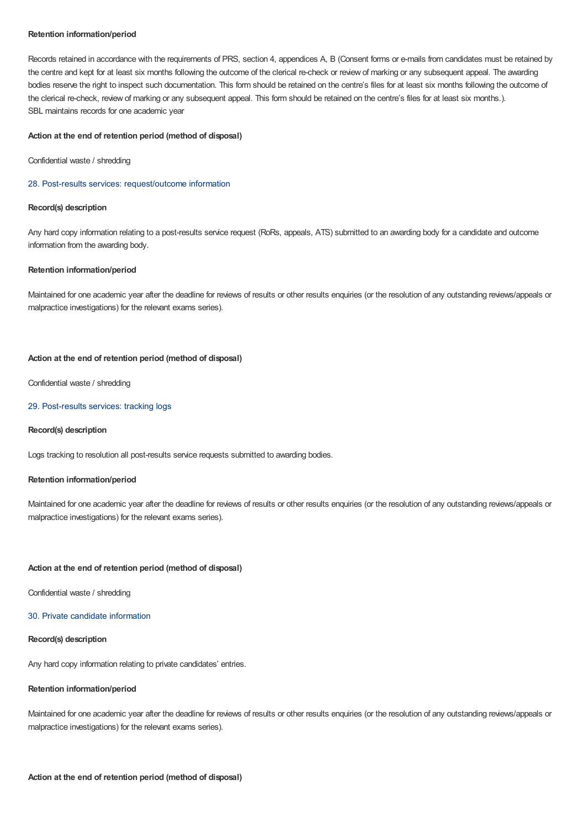# **Retention information/period**

Records retained in accordance with the requirements of PRS, section 4, appendices A, B (Consent forms or e-mails from candidates must be retained by the centre and kept for at least six months following the outcome of the clerical re-check or review of marking or any subsequent appeal. The awarding bodies reserve the right to inspect such documentation. This form should be retained on the centre's files for at least six months following the outcome of the clerical re-check, review of marking or any subsequent appeal. This form should be retained on the centre's files for at least six months.). SBL maintains records for one academic year

## **Action at the end of retention period (method of disposal)**

Confidential waste / shredding

#### 28. Post-results services: request/outcome information

# **Record(s) description**

Any hard copy information relating to a post-results service request (RoRs, appeals, ATS) submitted to an awarding body for a candidate and outcome information from the awarding body.

#### **Retention information/period**

Maintained for one academic year after the deadline for reviews of results or other results enquiries (or the resolution of any outstanding reviews/appeals or malpractice investigations) for the relevant exams series).

#### **Action at the end of retention period (method of disposal)**

Confidential waste / shredding

# 29. Post-results services: tracking logs

#### **Record(s) description**

Logs tracking to resolution all post-results service requests submitted to awarding bodies.

#### **Retention information/period**

Maintained for one academic year after the deadline for reviews of results or other results enquiries (or the resolution of any outstanding reviews/appeals or malpractice investigations) for the relevant exams series).

#### **Action at the end of retention period (method of disposal)**

Confidential waste / shredding

# 30. Private candidate information

# **Record(s) description**

Any hard copy information relating to private candidates' entries.

#### **Retention information/period**

Maintained for one academic year after the deadline for reviews of results or other results enquiries (or the resolution of any outstanding reviews/appeals or malpractice investigations) for the relevant exams series).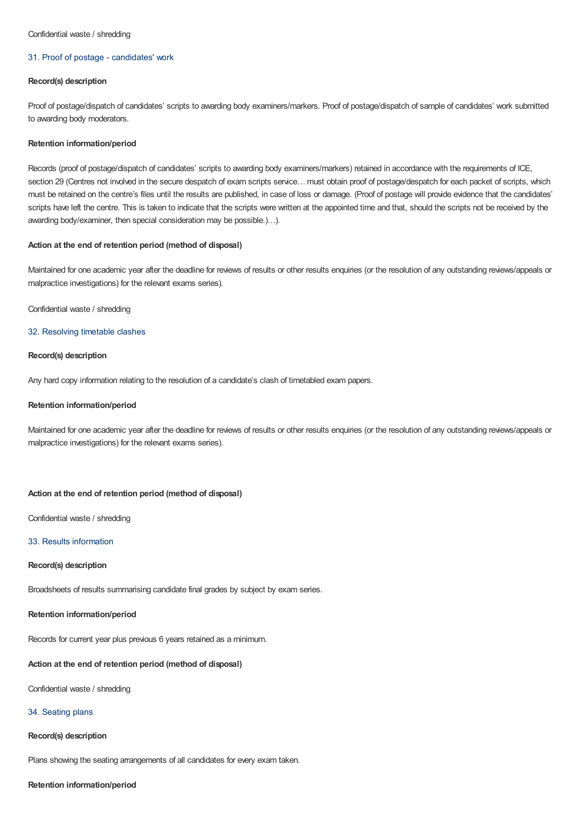#### Confidential waste / shredding

## 31. Proof of postage - candidates' work

## **Record(s) description**

Proof of postage/dispatch of candidates' scripts to awarding body examiners/markers. Proof of postage/dispatch of sample of candidates' work submitted to awarding body moderators.

#### **Retention information/period**

Records (proof of postage/dispatch of candidates' scripts to awarding body examiners/markers) retained in accordance with the requirements of ICE, section 29 (Centres not involved in the secure despatch of exam scripts service... must obtain proof of postage/despatch for each packet of scripts, which must be retained on the centre's files until the results are published, in case of loss or damage. (Proof of postage will provide evidence that the candidates' scripts have left the centre. This is taken to indicate that the scripts were written at the appointed time and that, should the scripts not be received by the awarding body/examiner, then special consideration may be possible.)…).

# **Action at the end of retention period (method of disposal)**

Maintained for one academic year after the deadline for reviews of results or other results enquiries (or the resolution of any outstanding reviews/appeals or malpractice investigations) for the relevant exams series).

## Confidential waste / shredding

## 32. Resolving timetable clashes

#### **Record(s) description**

Any hard copy information relating to the resolution of a candidate's clash of timetabled exam papers.

#### **Retention information/period**

Maintained for one academic year after the deadline for reviews of results or other results enquiries (or the resolution of any outstanding reviews/appeals or malpractice investigations) for the relevant exams series).

# **Action at the end of retention period (method of disposal)**

Confidential waste / shredding

# 33. Results information

#### **Record(s) description**

Broadsheets of results summarising candidate final grades by subject by exam series.

#### **Retention information/period**

Records for current year plus previous 6 years retained as a minimum.

#### **Action at the end of retention period (method of disposal)**

Confidential waste / shredding

# 34. Seating plans

#### **Record(s) description**

Plans showing the seating arrangements of all candidates for every exam taken.

#### **Retention information/period**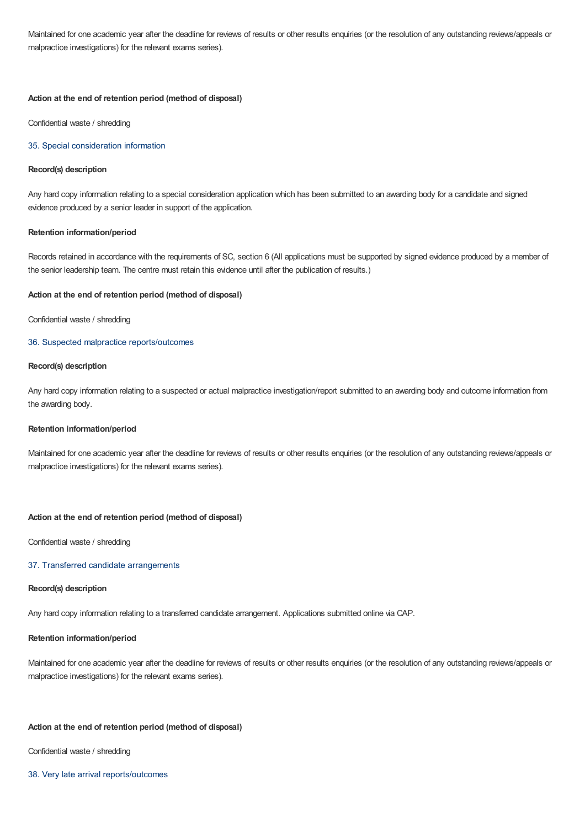Maintained for one academic year after the deadline for reviews of results or other results enquiries (or the resolution of any outstanding reviews/appeals or malpractice investigations) for the relevant exams series).

#### **Action at the end of retention period (method of disposal)**

Confidential waste / shredding

## 35. Special consideration information

# **Record(s) description**

Any hard copy information relating to a special consideration application which has been submitted to an awarding body for a candidate and signed evidence produced by a senior leader in support of the application.

# **Retention information/period**

Records retained in accordance with the requirements of SC, section 6 (All applications must be supported by signed evidence produced by a member of the senior leadership team. The centre must retain this evidence until after the publication of results.)

#### **Action at the end of retention period (method of disposal)**

Confidential waste / shredding

# 36. Suspected malpractice reports/outcomes

#### **Record(s) description**

Any hard copy information relating to a suspected or actual malpractice investigation/report submitted to an awarding body and outcome information from the awarding body.

## **Retention information/period**

Maintained for one academic year after the deadline for reviews of results or other results enquiries (or the resolution of any outstanding reviews/appeals or malpractice investigations) for the relevant exams series).

#### **Action at the end of retention period (method of disposal)**

Confidential waste / shredding

# 37. Transferred candidate arrangements

# **Record(s) description**

Any hard copy information relating to a transferred candidate arrangement. Applications submitted online via CAP.

# **Retention information/period**

Maintained for one academic year after the deadline for reviews of results or other results enquiries (or the resolution of any outstanding reviews/appeals or malpractice investigations) for the relevant exams series).

# **Action at the end of retention period (method of disposal)**

Confidential waste / shredding

38. Very late arrival reports/outcomes